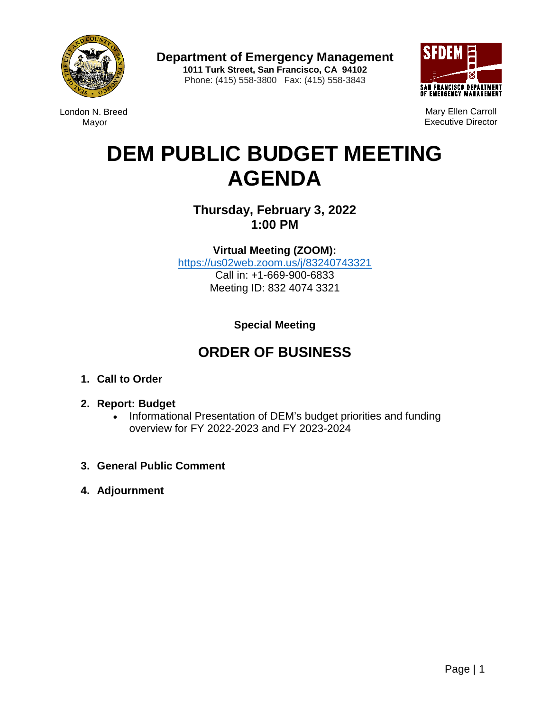

**Department of Emergency Management 1011 Turk Street, San Francisco, CA 94102** Phone: (415) 558-3800 Fax: (415) 558-3843



London N. Breed Mayor

Mary Ellen Carroll Executive Director

# **DEM PUBLIC BUDGET MEETING AGENDA**

**Thursday, February 3, 2022 1:00 PM**

**Virtual Meeting (ZOOM):** 

[https://us02web.zoom.us/j/83240743321](https://gcc02.safelinks.protection.outlook.com/?url=https%3A%2F%2Fus02web.zoom.us%2Fj%2F83240743321&data=04%7C01%7Cwilliam.lee%40sfgov.org%7Cc9c9c6b756e0487df7a108d9e2a91d0b%7C22d5c2cfce3e443d9a7fdfcc0231f73f%7C0%7C0%7C637790038223485344%7CUnknown%7CTWFpbGZsb3d8eyJWIjoiMC4wLjAwMDAiLCJQIjoiV2luMzIiLCJBTiI6Ik1haWwiLCJXVCI6Mn0%3D%7C3000&sdata=txjvToQWfP%2F%2FFPplvvAvxtlHLedgXekWx2J99A2d01I%3D&reserved=0) Call in: +1-669-900-6833 Meeting ID: 832 4074 3321

**Special Meeting**

# **ORDER OF BUSINESS**

- **1. Call to Order**
- **2. Report: Budget**
	- Informational Presentation of DEM's budget priorities and funding overview for FY 2022-2023 and FY 2023-2024
- **3. General Public Comment**
- **4. Adjournment**